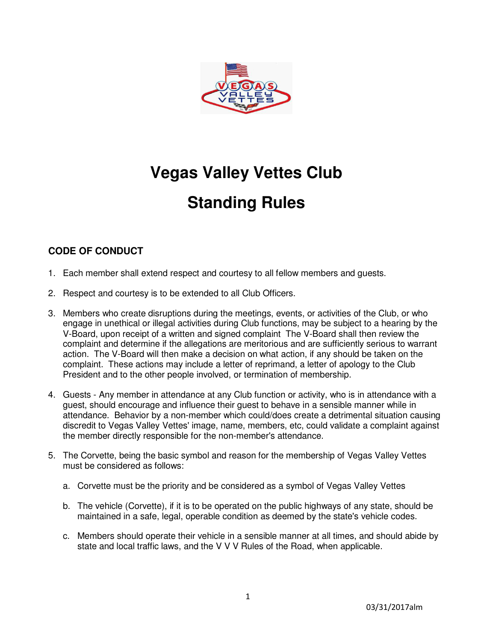

## **Vegas Valley Vettes Club**

# **Standing Rules**

## **CODE OF CONDUCT**

- 1. Each member shall extend respect and courtesy to all fellow members and guests.
- 2. Respect and courtesy is to be extended to all Club Officers.
- 3. Members who create disruptions during the meetings, events, or activities of the Club, or who engage in unethical or illegal activities during Club functions, may be subject to a hearing by the V-Board, upon receipt of a written and signed complaint The V-Board shall then review the complaint and determine if the allegations are meritorious and are sufficiently serious to warrant action. The V-Board will then make a decision on what action, if any should be taken on the complaint. These actions may include a letter of reprimand, a letter of apology to the Club President and to the other people involved, or termination of membership.
- 4. Guests Any member in attendance at any Club function or activity, who is in attendance with a guest, should encourage and influence their guest to behave in a sensible manner while in attendance. Behavior by a non-member which could/does create a detrimental situation causing discredit to Vegas Valley Vettes' image, name, members, etc, could validate a complaint against the member directly responsible for the non-member's attendance.
- 5. The Corvette, being the basic symbol and reason for the membership of Vegas Valley Vettes must be considered as follows:
	- a. Corvette must be the priority and be considered as a symbol of Vegas Valley Vettes
	- b. The vehicle (Corvette), if it is to be operated on the public highways of any state, should be maintained in a safe, legal, operable condition as deemed by the state's vehicle codes.
	- c. Members should operate their vehicle in a sensible manner at all times, and should abide by state and local traffic laws, and the V V V Rules of the Road, when applicable.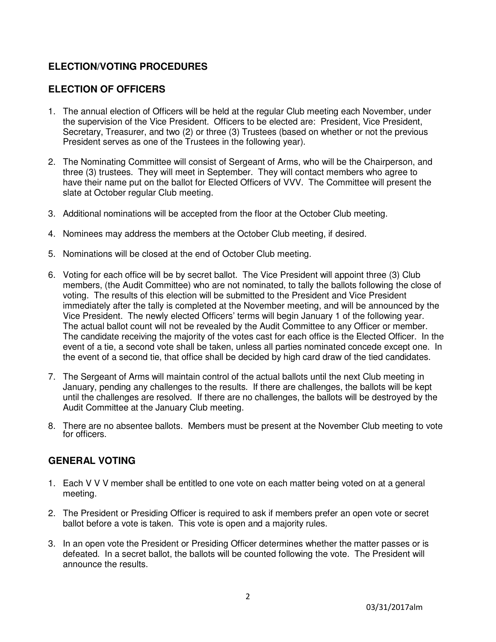## **ELECTION/VOTING PROCEDURES**

## **ELECTION OF OFFICERS**

- 1. The annual election of Officers will be held at the regular Club meeting each November, under the supervision of the Vice President. Officers to be elected are: President, Vice President, Secretary, Treasurer, and two (2) or three (3) Trustees (based on whether or not the previous President serves as one of the Trustees in the following year).
- 2. The Nominating Committee will consist of Sergeant of Arms, who will be the Chairperson, and three (3) trustees. They will meet in September. They will contact members who agree to have their name put on the ballot for Elected Officers of VVV. The Committee will present the slate at October regular Club meeting.
- 3. Additional nominations will be accepted from the floor at the October Club meeting.
- 4. Nominees may address the members at the October Club meeting, if desired.
- 5. Nominations will be closed at the end of October Club meeting.
- 6. Voting for each office will be by secret ballot. The Vice President will appoint three (3) Club members, (the Audit Committee) who are not nominated, to tally the ballots following the close of voting. The results of this election will be submitted to the President and Vice President immediately after the tally is completed at the November meeting, and will be announced by the Vice President. The newly elected Officers' terms will begin January 1 of the following year. The actual ballot count will not be revealed by the Audit Committee to any Officer or member. The candidate receiving the majority of the votes cast for each office is the Elected Officer. In the event of a tie, a second vote shall be taken, unless all parties nominated concede except one. In the event of a second tie, that office shall be decided by high card draw of the tied candidates.
- 7. The Sergeant of Arms will maintain control of the actual ballots until the next Club meeting in January, pending any challenges to the results. If there are challenges, the ballots will be kept until the challenges are resolved. If there are no challenges, the ballots will be destroyed by the Audit Committee at the January Club meeting.
- 8. There are no absentee ballots. Members must be present at the November Club meeting to vote for officers.

#### **GENERAL VOTING**

- 1. Each V V V member shall be entitled to one vote on each matter being voted on at a general meeting.
- 2. The President or Presiding Officer is required to ask if members prefer an open vote or secret ballot before a vote is taken. This vote is open and a majority rules.
- 3. In an open vote the President or Presiding Officer determines whether the matter passes or is defeated. In a secret ballot, the ballots will be counted following the vote. The President will announce the results.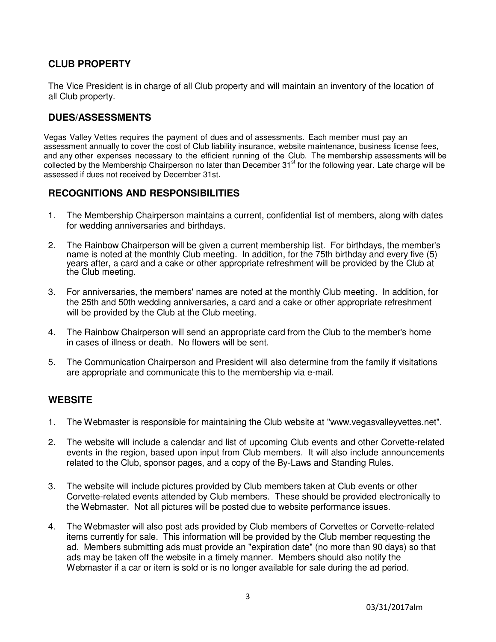#### **CLUB PROPERTY**

The Vice President is in charge of all Club property and will maintain an inventory of the location of all Club property.

#### **DUES/ASSESSMENTS**

Vegas Valley Vettes requires the payment of dues and of assessments. Each member must pay an assessment annually to cover the cost of Club liability insurance, website maintenance, business license fees, and any other expenses necessary to the efficient running of the Club. The membership assessments will be collected by the Membership Chairperson no later than December 31<sup>st</sup> for the following year. Late charge will be assessed if dues not received by December 31st.

#### **RECOGNITIONS AND RESPONSIBILITIES**

- 1. The Membership Chairperson maintains a current, confidential list of members, along with dates for wedding anniversaries and birthdays.
- 2. The Rainbow Chairperson will be given a current membership list. For birthdays, the member's name is noted at the monthly Club meeting. In addition, for the 75th birthday and every five (5) years after, a card and a cake or other appropriate refreshment will be provided by the Club at the Club meeting.
- 3. For anniversaries, the members' names are noted at the monthly Club meeting. In addition, for the 25th and 50th wedding anniversaries, a card and a cake or other appropriate refreshment will be provided by the Club at the Club meeting.
- 4. The Rainbow Chairperson will send an appropriate card from the Club to the member's home in cases of illness or death. No flowers will be sent.
- 5. The Communication Chairperson and President will also determine from the family if visitations are appropriate and communicate this to the membership via e-mail.

#### **WEBSITE**

- 1. The Webmaster is responsible for maintaining the Club website at "www.vegasvalleyvettes.net".
- 2. The website will include a calendar and list of upcoming Club events and other Corvette-related events in the region, based upon input from Club members. It will also include announcements related to the Club, sponsor pages, and a copy of the By-Laws and Standing Rules.
- 3. The website will include pictures provided by Club members taken at Club events or other Corvette-related events attended by Club members. These should be provided electronically to the Webmaster. Not all pictures will be posted due to website performance issues.
- 4. The Webmaster will also post ads provided by Club members of Corvettes or Corvette-related items currently for sale. This information will be provided by the Club member requesting the ad. Members submitting ads must provide an "expiration date" (no more than 90 days) so that ads may be taken off the website in a timely manner. Members should also notify the Webmaster if a car or item is sold or is no longer available for sale during the ad period.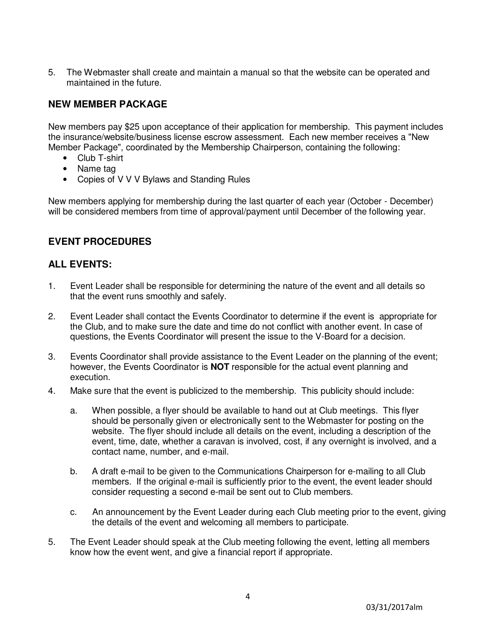5. The Webmaster shall create and maintain a manual so that the website can be operated and maintained in the future.

## **NEW MEMBER PACKAGE**

New members pay \$25 upon acceptance of their application for membership. This payment includes the insurance/website/business license escrow assessment. Each new member receives a "New Member Package", coordinated by the Membership Chairperson, containing the following:

- Club T-shirt
- Name tag
- Copies of V V V Bylaws and Standing Rules

New members applying for membership during the last quarter of each year (October - December) will be considered members from time of approval/payment until December of the following year.

#### **EVENT PROCEDURES**

#### **ALL EVENTS:**

- 1. Event Leader shall be responsible for determining the nature of the event and all details so that the event runs smoothly and safely.
- 2. Event Leader shall contact the Events Coordinator to determine if the event is appropriate for the Club, and to make sure the date and time do not conflict with another event. In case of questions, the Events Coordinator will present the issue to the V-Board for a decision.
- 3. Events Coordinator shall provide assistance to the Event Leader on the planning of the event; however, the Events Coordinator is **NOT** responsible for the actual event planning and execution.
- 4. Make sure that the event is publicized to the membership. This publicity should include:
	- a. When possible, a flyer should be available to hand out at Club meetings. This flyer should be personally given or electronically sent to the Webmaster for posting on the website. The flyer should include all details on the event, including a description of the event, time, date, whether a caravan is involved, cost, if any overnight is involved, and a contact name, number, and e-mail.
	- b. A draft e-mail to be given to the Communications Chairperson for e-mailing to all Club members. If the original e-mail is sufficiently prior to the event, the event leader should consider requesting a second e-mail be sent out to Club members.
	- c. An announcement by the Event Leader during each Club meeting prior to the event, giving the details of the event and welcoming all members to participate.
- 5. The Event Leader should speak at the Club meeting following the event, letting all members know how the event went, and give a financial report if appropriate.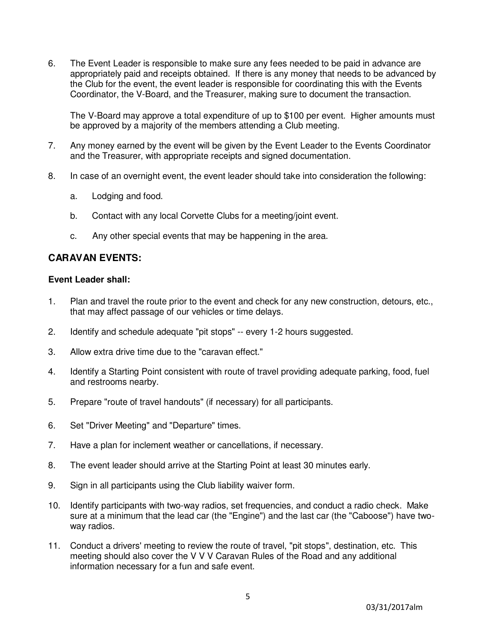6. The Event Leader is responsible to make sure any fees needed to be paid in advance are appropriately paid and receipts obtained. If there is any money that needs to be advanced by the Club for the event, the event leader is responsible for coordinating this with the Events Coordinator, the V-Board, and the Treasurer, making sure to document the transaction.

The V-Board may approve a total expenditure of up to \$100 per event. Higher amounts must be approved by a majority of the members attending a Club meeting.

- 7. Any money earned by the event will be given by the Event Leader to the Events Coordinator and the Treasurer, with appropriate receipts and signed documentation.
- 8. In case of an overnight event, the event leader should take into consideration the following:
	- a. Lodging and food.
	- b. Contact with any local Corvette Clubs for a meeting/joint event.
	- c. Any other special events that may be happening in the area.

#### **CARAVAN EVENTS:**

#### **Event Leader shall:**

- 1. Plan and travel the route prior to the event and check for any new construction, detours, etc., that may affect passage of our vehicles or time delays.
- 2. Identify and schedule adequate "pit stops" -- every 1-2 hours suggested.
- 3. Allow extra drive time due to the "caravan effect."
- 4. Identify a Starting Point consistent with route of travel providing adequate parking, food, fuel and restrooms nearby.
- 5. Prepare "route of travel handouts" (if necessary) for all participants.
- 6. Set "Driver Meeting" and "Departure" times.
- 7. Have a plan for inclement weather or cancellations, if necessary.
- 8. The event leader should arrive at the Starting Point at least 30 minutes early.
- 9. Sign in all participants using the Club liability waiver form.
- 10. Identify participants with two-way radios, set frequencies, and conduct a radio check. Make sure at a minimum that the lead car (the "Engine") and the last car (the "Caboose") have twoway radios.
- 11. Conduct a drivers' meeting to review the route of travel, "pit stops", destination, etc. This meeting should also cover the V V V Caravan Rules of the Road and any additional information necessary for a fun and safe event.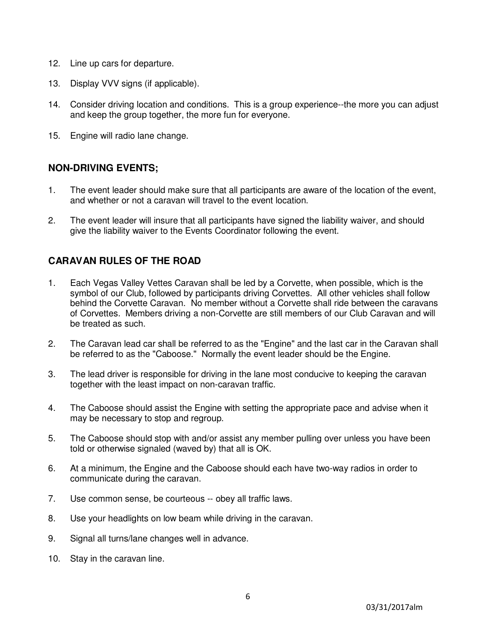- 12. Line up cars for departure.
- 13. Display VVV signs (if applicable).
- 14. Consider driving location and conditions. This is a group experience--the more you can adjust and keep the group together, the more fun for everyone.
- 15. Engine will radio lane change.

#### **NON-DRIVING EVENTS;**

- 1. The event leader should make sure that all participants are aware of the location of the event, and whether or not a caravan will travel to the event location.
- 2. The event leader will insure that all participants have signed the liability waiver, and should give the liability waiver to the Events Coordinator following the event.

#### **CARAVAN RULES OF THE ROAD**

- 1. Each Vegas Valley Vettes Caravan shall be led by a Corvette, when possible, which is the symbol of our Club, followed by participants driving Corvettes. All other vehicles shall follow behind the Corvette Caravan. No member without a Corvette shall ride between the caravans of Corvettes. Members driving a non-Corvette are still members of our Club Caravan and will be treated as such.
- 2. The Caravan lead car shall be referred to as the "Engine" and the last car in the Caravan shall be referred to as the "Caboose." Normally the event leader should be the Engine.
- 3. The lead driver is responsible for driving in the lane most conducive to keeping the caravan together with the least impact on non-caravan traffic.
- 4. The Caboose should assist the Engine with setting the appropriate pace and advise when it may be necessary to stop and regroup.
- 5. The Caboose should stop with and/or assist any member pulling over unless you have been told or otherwise signaled (waved by) that all is OK.
- 6. At a minimum, the Engine and the Caboose should each have two-way radios in order to communicate during the caravan.
- 7. Use common sense, be courteous -- obey all traffic laws.
- 8. Use your headlights on low beam while driving in the caravan.
- 9. Signal all turns/lane changes well in advance.
- 10. Stay in the caravan line.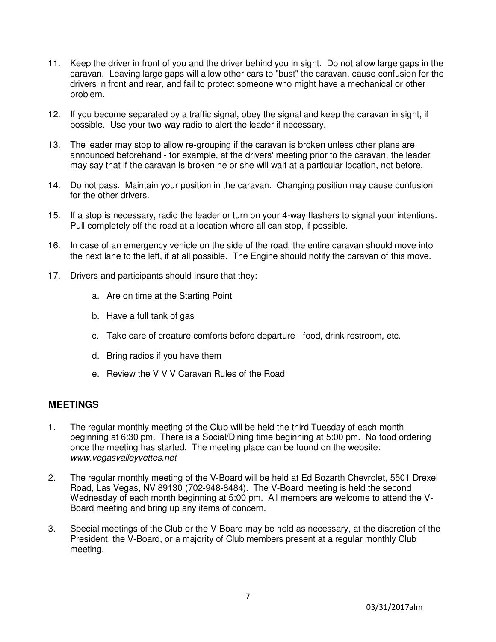- 11. Keep the driver in front of you and the driver behind you in sight. Do not allow large gaps in the caravan. Leaving large gaps will allow other cars to "bust" the caravan, cause confusion for the drivers in front and rear, and fail to protect someone who might have a mechanical or other problem.
- 12. If you become separated by a traffic signal, obey the signal and keep the caravan in sight, if possible. Use your two-way radio to alert the leader if necessary.
- 13. The leader may stop to allow re-grouping if the caravan is broken unless other plans are announced beforehand - for example, at the drivers' meeting prior to the caravan, the leader may say that if the caravan is broken he or she will wait at a particular location, not before.
- 14. Do not pass. Maintain your position in the caravan. Changing position may cause confusion for the other drivers.
- 15. If a stop is necessary, radio the leader or turn on your 4-way flashers to signal your intentions. Pull completely off the road at a location where all can stop, if possible.
- 16. In case of an emergency vehicle on the side of the road, the entire caravan should move into the next lane to the left, if at all possible. The Engine should notify the caravan of this move.
- 17. Drivers and participants should insure that they:
	- a. Are on time at the Starting Point
	- b. Have a full tank of gas
	- c. Take care of creature comforts before departure food, drink restroom, etc.
	- d. Bring radios if you have them
	- e. Review the V V V Caravan Rules of the Road

#### **MEETINGS**

- 1. The regular monthly meeting of the Club will be held the third Tuesday of each month beginning at 6:30 pm. There is a Social/Dining time beginning at 5:00 pm. No food ordering once the meeting has started. The meeting place can be found on the website: www.vegasvalleyvettes.net
- 2. The regular monthly meeting of the V-Board will be held at Ed Bozarth Chevrolet, 5501 Drexel Road, Las Vegas, NV 89130 (702-948-8484). The V-Board meeting is held the second Wednesday of each month beginning at 5:00 pm. All members are welcome to attend the V-Board meeting and bring up any items of concern.
- 3. Special meetings of the Club or the V-Board may be held as necessary, at the discretion of the President, the V-Board, or a majority of Club members present at a regular monthly Club meeting.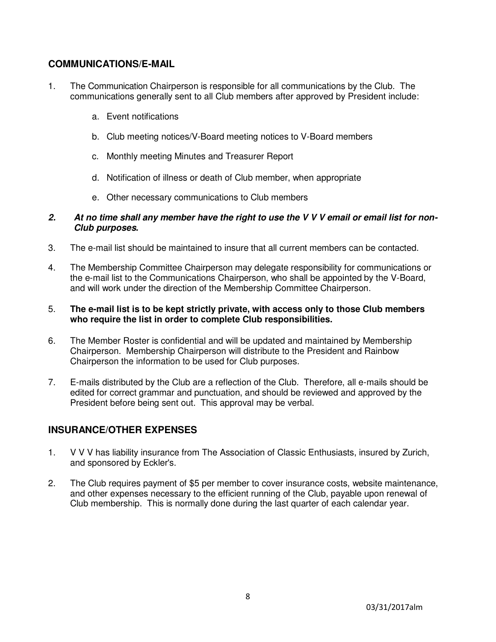#### **COMMUNICATIONS/E-MAIL**

- 1. The Communication Chairperson is responsible for all communications by the Club. The communications generally sent to all Club members after approved by President include:
	- a. Event notifications
	- b. Club meeting notices/V-Board meeting notices to V-Board members
	- c. Monthly meeting Minutes and Treasurer Report
	- d. Notification of illness or death of Club member, when appropriate
	- e. Other necessary communications to Club members

#### **2. At no time shall any member have the right to use the V V V email or email list for non-Club purposes.**

- 3. The e-mail list should be maintained to insure that all current members can be contacted.
- 4. The Membership Committee Chairperson may delegate responsibility for communications or the e-mail list to the Communications Chairperson, who shall be appointed by the V-Board, and will work under the direction of the Membership Committee Chairperson.

#### 5. **The e-mail list is to be kept strictly private, with access only to those Club members who require the list in order to complete Club responsibilities.**

- 6. The Member Roster is confidential and will be updated and maintained by Membership Chairperson. Membership Chairperson will distribute to the President and Rainbow Chairperson the information to be used for Club purposes.
- 7. E-mails distributed by the Club are a reflection of the Club. Therefore, all e-mails should be edited for correct grammar and punctuation, and should be reviewed and approved by the President before being sent out. This approval may be verbal.

## **INSURANCE/OTHER EXPENSES**

- 1. V V V has liability insurance from The Association of Classic Enthusiasts, insured by Zurich, and sponsored by Eckler's.
- 2. The Club requires payment of \$5 per member to cover insurance costs, website maintenance, and other expenses necessary to the efficient running of the Club, payable upon renewal of Club membership. This is normally done during the last quarter of each calendar year.